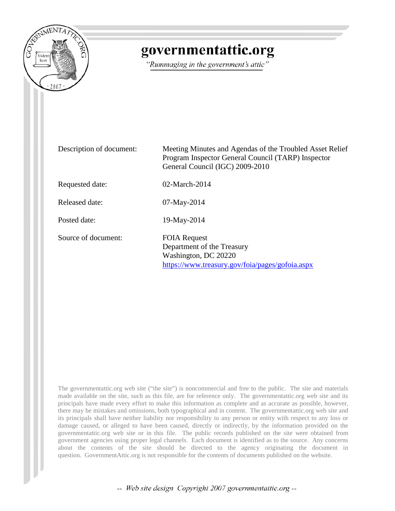

# governmentattic.org

"Rummaging in the government's attic"

| Description of document: | Meeting Minutes and Agendas of the Troubled Asset Relief<br>Program Inspector General Council (TARP) Inspector<br>General Council (IGC) 2009-2010 |
|--------------------------|---------------------------------------------------------------------------------------------------------------------------------------------------|
| Requested date:          | 02-March-2014                                                                                                                                     |
| Released date:           | 07-May-2014                                                                                                                                       |
| Posted date:             | 19-May-2014                                                                                                                                       |
| Source of document:      | <b>FOIA Request</b><br>Department of the Treasury<br>Washington, DC 20220<br>https://www.treasury.gov/foia/pages/gofoia.aspx                      |

The governmentattic.org web site ("the site") is noncommercial and free to the public. The site and materials made available on the site, such as this file, are for reference only. The governmentattic.org web site and its principals have made every effort to make this information as complete and as accurate as possible, however, there may be mistakes and omissions, both typographical and in content. The governmentattic.org web site and its principals shall have neither liability nor responsibility to any person or entity with respect to any loss or damage caused, or alleged to have been caused, directly or indirectly, by the information provided on the governmentattic.org web site or in this file. The public records published on the site were obtained from government agencies using proper legal channels. Each document is identified as to the source. Any concerns about the contents of the site should be directed to the agency originating the document in question. GovernmentAttic.org is not responsible for the contents of documents published on the website.

-- Web site design Copyright 2007 governmentattic.org --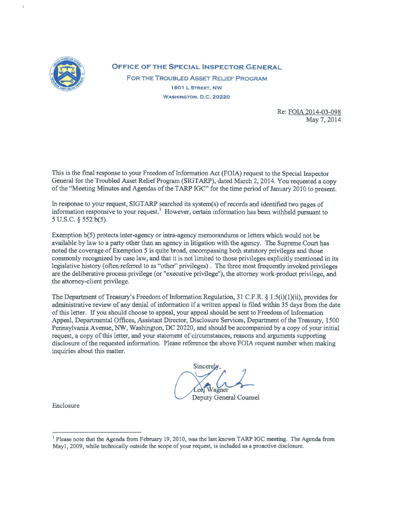

**OFFICE OF THE SPECIAL INSPECTOR GENERAL**  FOR THE TROUBLED AsSET RELIEF PROGRAM 1801 L STREET, NW

WASHINGTON, D.C. 20220

Re: FOIA 2014-03-098 May7, 2014

This is the final response to your Freedom of Information Act (FOIA) request to the Special Inspector General for the Troubled Asset Relief Program (SIGT ARP), dated March 2, 2014. You requested a copy of the "Meeting Minutes and Agendas of the TARP IGC" for the time period of January 2010 to present.

In response to your request, SIGTARP searched its system(s) of records and identified two pages of information responsive to your request.<sup>1</sup> However, certain information has been withheld pursuant to 5 u.s.c. § 552 b(5).

Exemption b(5) protects inter-agency or intra-agency memorandums or letters which would not be available by law to a party other than an agency in litigation with the agency. The Supreme Court has noted the coverage of Exemption 5 is quite broad, encompassing both statutory privileges and those commonly recognized by case law, and that it is not limited to those privileges explicitly mentioned in its legislative history (often referred to as "other'' privileges). The three most frequently invoked privileges are the deliberative process privilege (or "executive privilege"), the attorney work-product privilege, and the attorney-client privilege.

The Department of Treasury's Freedom of Information Regulation, 31 C.F.R. § 1.5(i)(1)(ii), provides for administrative review of any denial of information if a written appeal is filed within 35 days from the date of this letter. If you should choose to appeal, your appeal should be sent to Freedom of Information Appeal, Departmental Offices, Assistant Director, Disclosure Services, Department of the Treasury, 1500 Pennsylvania Avenue, NW, Washington, DC 20220, and should be accompanied by a copy of your initial request, a copy of this letter, and your statement of circumstances, reasons and arguments supporting disclosure of the requested information. Please reference the above FOIA request number when making inquiries about this matter.

Sincere **Deputy General Counsel** 

Enclosure

<sup>&</sup>lt;sup>1</sup> Please note that the Agenda from February 19, 2010, was the last known TARP IGC meeting. The Agenda from Mayl, 2009, while technically outside the scope of your request, is included as a proactive disclosure.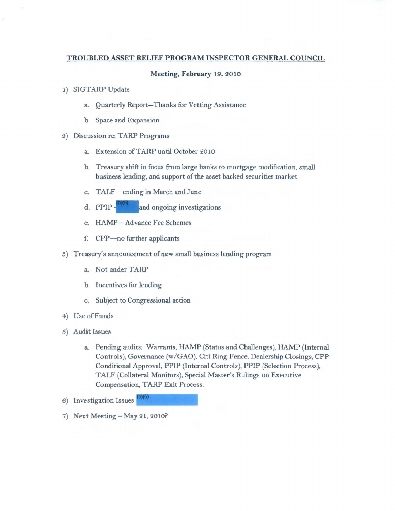## TROUBLED ASSET RELIEF PROGRAM INSPECTOR GENERAL COUNCIL

#### Meeting, February 19, 2010

- 1) SIGTARP Update
	- a. Quarterly Report-Thanks for Vetting Assistance
	- b. Space and Expansion
- 2) Discussion re: TARP Programs
	- a. Extension ofTARP until October 2010
	- b. Treasury shift in focus from large banks to mortgage modification, small business lending, and support of the asset backed securities market
	- c. TALF-ending in March and June
	- d. PPIP $\frac{1}{2}$  and ongoing investigations
	- e. HAMP Advance Fee Schemes
	- f. CPP-no further applicants
- S) Treasury's announcement of new small business lending program
	- a. Not under TARP
	- b. Incentives for lending
	- c. Subject to Congressional action
- 4) Use of Funds
- 5) Audit Issues
	- a. Pending audits: Warrants, HAMP (Status and Challenges), HAMP (Internal Controls), Governance (w/GAO), Citi Ring Fence, Dealership Closings, CPP Conditional Approval, PPIP (Internal Controls), PPIP (Selection Process), TALF (Collateral Monitors), Special Master's Rulings on Executive Compensation, TARP Exit Process.
- 6) Investigation Issues
- 7) Next Meeting- May 21, 2010?